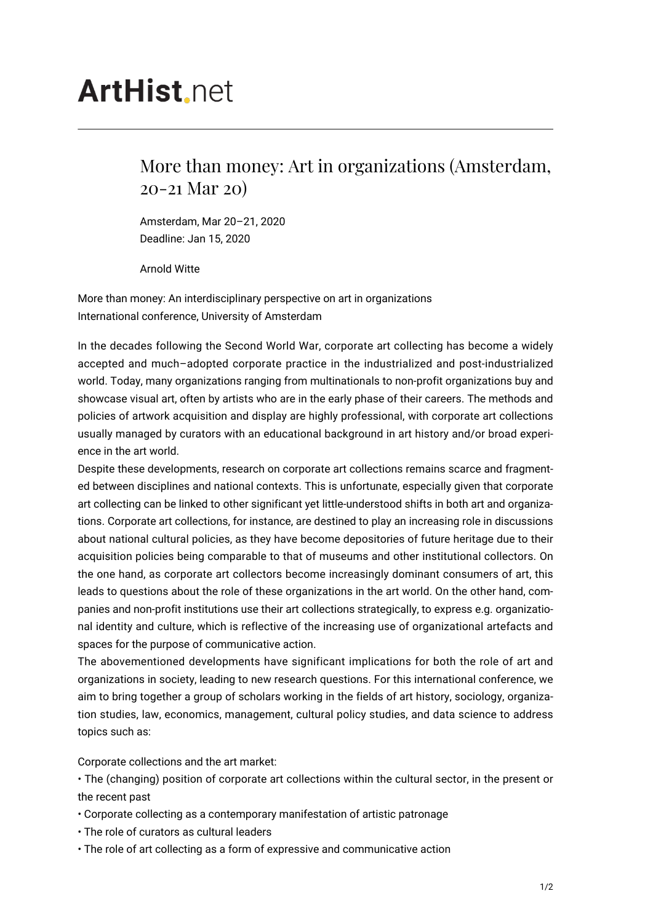# **ArtHist**, net

## More than money: Art in organizations (Amsterdam, 20-21 Mar 20)

Amsterdam, Mar 20–21, 2020 Deadline: Jan 15, 2020

Arnold Witte

More than money: An interdisciplinary perspective on art in organizations International conference, University of Amsterdam

In the decades following the Second World War, corporate art collecting has become a widely accepted and much–adopted corporate practice in the industrialized and post-industrialized world. Today, many organizations ranging from multinationals to non-profit organizations buy and showcase visual art, often by artists who are in the early phase of their careers. The methods and policies of artwork acquisition and display are highly professional, with corporate art collections usually managed by curators with an educational background in art history and/or broad experience in the art world.

Despite these developments, research on corporate art collections remains scarce and fragmented between disciplines and national contexts. This is unfortunate, especially given that corporate art collecting can be linked to other significant yet little-understood shifts in both art and organizations. Corporate art collections, for instance, are destined to play an increasing role in discussions about national cultural policies, as they have become depositories of future heritage due to their acquisition policies being comparable to that of museums and other institutional collectors. On the one hand, as corporate art collectors become increasingly dominant consumers of art, this leads to questions about the role of these organizations in the art world. On the other hand, companies and non-profit institutions use their art collections strategically, to express e.g. organizational identity and culture, which is reflective of the increasing use of organizational artefacts and spaces for the purpose of communicative action.

The abovementioned developments have significant implications for both the role of art and organizations in society, leading to new research questions. For this international conference, we aim to bring together a group of scholars working in the fields of art history, sociology, organization studies, law, economics, management, cultural policy studies, and data science to address topics such as:

Corporate collections and the art market:

• The (changing) position of corporate art collections within the cultural sector, in the present or the recent past

- Corporate collecting as a contemporary manifestation of artistic patronage
- The role of curators as cultural leaders
- The role of art collecting as a form of expressive and communicative action